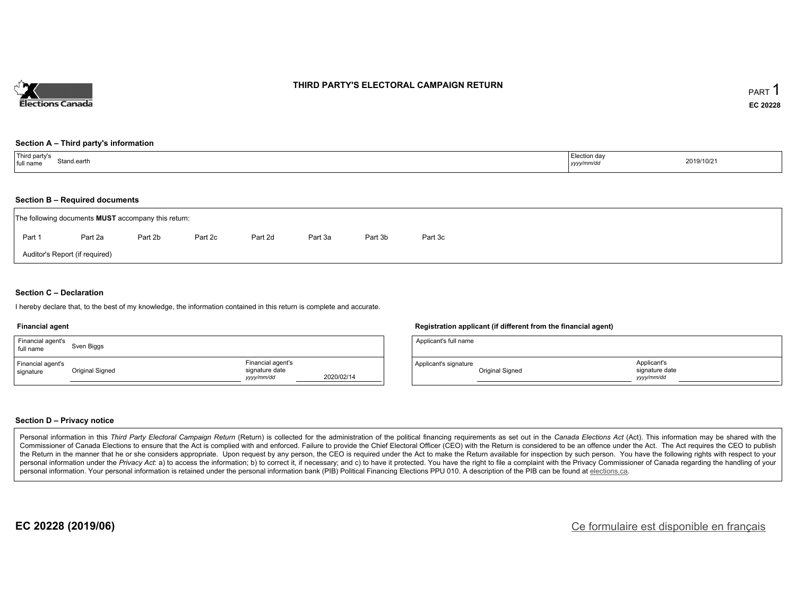

#### **THIRD PARTY'S ELECTORAL CAMPAIGN RETURN**

#### **Section A – Third party's information**

| Third party's<br>Stand.earth<br>full name | Election day<br>yyyy/mm/dd | 2019/10/21 |
|-------------------------------------------|----------------------------|------------|
|-------------------------------------------|----------------------------|------------|

#### **Section B – Required documents**

| The following documents <b>MUST</b> accompany this return: |         |         |         |         |         |         |         |  |  |
|------------------------------------------------------------|---------|---------|---------|---------|---------|---------|---------|--|--|
| Part 1                                                     | Part 2a | Part 2b | Part 2c | Part 2d | Part 3a | Part 3b | Part 3c |  |  |
| Auditor's Report (if required)                             |         |         |         |         |         |         |         |  |  |

#### **Section C – Declaration**

I hereby declare that, to the best of my knowledge, the information contained in this return is complete and accurate.

#### **Financial agent**

| Financial agent's<br>full name | Sven Biggs      |                                                  |            |
|--------------------------------|-----------------|--------------------------------------------------|------------|
| Financial agent's<br>signature | Original Signed | Financial agent's<br>signature date<br>vyy/mm/dd | 2020/02/14 |

#### **Registration applicant (if different from the financial agent)**

| Applicant's full name |                 |                                            |  |
|-----------------------|-----------------|--------------------------------------------|--|
| Applicant's signature | Original Signed | Applicant's<br>signature date<br>vyy/mm/dd |  |

#### **Section D – Privacy notice**

Personal information in this Third Party Electoral Campaign Return (Return) is collected for the administration of the political financing requirements as set out in the Canada Elections Act (Act). This information may be Commissioner of Canada Elections to ensure that the Act is complied with and enforced. Failure to provide the Chief Electoral Officer (CEO) with the Return is considered to be an offence under the Act. The Act requires the the Return in the manner that he or she considers appropriate. Upon request by any person, the CEO is required under the Act to make the Return available for inspection by such person. You have the following rights with re personal information under the Privacy Act: a) to access the information; b) to correct it, if necessary; and c) to have it protected. You have the right to file a complaint with the Privacy Commissioner of Canada regardin personal information. Your personal information is retained under the personal information bank (PIB) Political Financing Elections PPU 010. A description of the PIB can be found at elections.ca.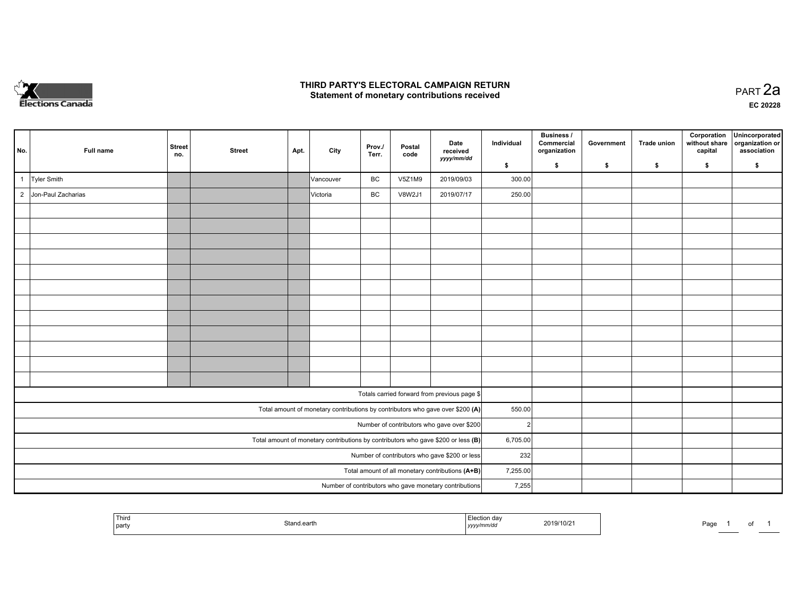

### **THIRD PARTY'S ELECTORAL CAMPAIGN RETURN HIRD PARTY'S ELECTORAL CAMPAIGN RETURN<br>Statement of monetary contributions received PART 2a PART 2a**

**EC 20228**

| No.                                              | Full name          | <b>Street</b><br>no. | <b>Street</b> | Apt. | City      | Prov./<br>Terr. | Postal<br>code | Date<br>received                                                                  | Individual    | <b>Business /</b><br>Commercial<br>organization | Government | <b>Trade union</b> | Corporation<br>without share<br>capital | Unincorporated<br>organization or<br>association |
|--------------------------------------------------|--------------------|----------------------|---------------|------|-----------|-----------------|----------------|-----------------------------------------------------------------------------------|---------------|-------------------------------------------------|------------|--------------------|-----------------------------------------|--------------------------------------------------|
|                                                  |                    |                      |               |      |           |                 |                | yyyy/mm/dd                                                                        | \$            | \$                                              | \$         | \$                 | \$                                      | \$                                               |
|                                                  | Tyler Smith        |                      |               |      | Vancouver | BC              | V5Z1M9         | 2019/09/03                                                                        | 300.00        |                                                 |            |                    |                                         |                                                  |
| $\overline{2}$                                   | Jon-Paul Zacharias |                      |               |      | Victoria  | BC              | V8W2J1         | 2019/07/17                                                                        | 250.00        |                                                 |            |                    |                                         |                                                  |
|                                                  |                    |                      |               |      |           |                 |                |                                                                                   |               |                                                 |            |                    |                                         |                                                  |
|                                                  |                    |                      |               |      |           |                 |                |                                                                                   |               |                                                 |            |                    |                                         |                                                  |
|                                                  |                    |                      |               |      |           |                 |                |                                                                                   |               |                                                 |            |                    |                                         |                                                  |
|                                                  |                    |                      |               |      |           |                 |                |                                                                                   |               |                                                 |            |                    |                                         |                                                  |
|                                                  |                    |                      |               |      |           |                 |                |                                                                                   |               |                                                 |            |                    |                                         |                                                  |
|                                                  |                    |                      |               |      |           |                 |                |                                                                                   |               |                                                 |            |                    |                                         |                                                  |
|                                                  |                    |                      |               |      |           |                 |                |                                                                                   |               |                                                 |            |                    |                                         |                                                  |
|                                                  |                    |                      |               |      |           |                 |                |                                                                                   |               |                                                 |            |                    |                                         |                                                  |
|                                                  |                    |                      |               |      |           |                 |                |                                                                                   |               |                                                 |            |                    |                                         |                                                  |
|                                                  |                    |                      |               |      |           |                 |                |                                                                                   |               |                                                 |            |                    |                                         |                                                  |
|                                                  |                    |                      |               |      |           |                 |                |                                                                                   |               |                                                 |            |                    |                                         |                                                  |
|                                                  |                    |                      |               |      |           |                 |                |                                                                                   |               |                                                 |            |                    |                                         |                                                  |
|                                                  |                    |                      |               |      |           |                 |                | Totals carried forward from previous page \$                                      |               |                                                 |            |                    |                                         |                                                  |
|                                                  |                    |                      |               |      |           |                 |                | Total amount of monetary contributions by contributors who gave over \$200 (A)    | 550.00        |                                                 |            |                    |                                         |                                                  |
|                                                  |                    |                      |               |      |           |                 |                | Number of contributors who gave over \$200                                        | $\mathcal{P}$ |                                                 |            |                    |                                         |                                                  |
|                                                  |                    |                      |               |      |           |                 |                | Total amount of monetary contributions by contributors who gave \$200 or less (B) | 6,705.00      |                                                 |            |                    |                                         |                                                  |
| Number of contributors who gave \$200 or less    |                    |                      |               |      |           |                 |                | 232                                                                               |               |                                                 |            |                    |                                         |                                                  |
| Total amount of all monetary contributions (A+B) |                    |                      |               |      |           |                 |                |                                                                                   | 7,255.00      |                                                 |            |                    |                                         |                                                  |
|                                                  |                    |                      |               |      |           |                 |                | Number of contributors who gave monetary contributions                            | 7,255         |                                                 |            |                    |                                         |                                                  |

|  | <b>Third</b><br>' partv | stand.earth | ı ua<br>yyyy/mm/au | 2019/10/21 | Page | . . |  |
|--|-------------------------|-------------|--------------------|------------|------|-----|--|
|--|-------------------------|-------------|--------------------|------------|------|-----|--|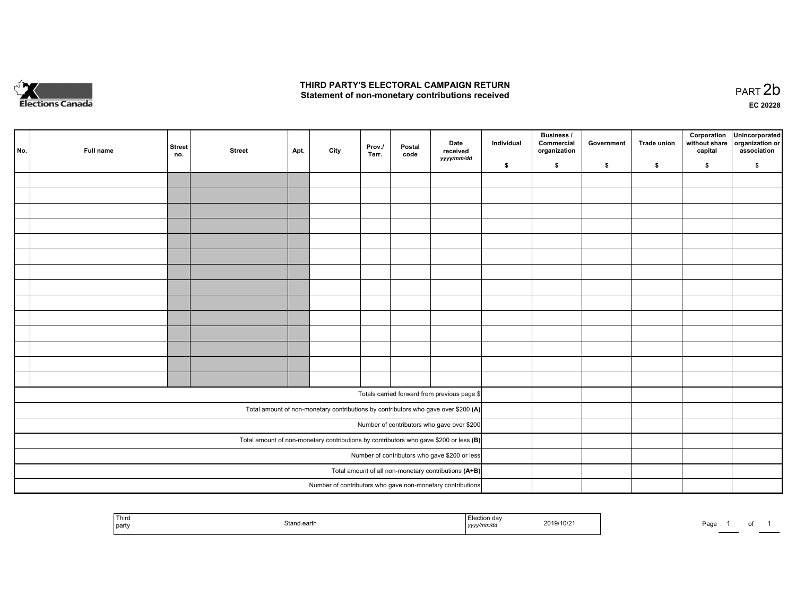

### **THIRD PARTY'S ELECTORAL CAMPAIGN RETURN**  THIRD PARTY'S ELECTORAL CAMPAIGN RETURN<br>Statement of non-monetary contributions received

of 1

|                                                      | No. | Full name | <b>Street</b><br>no. | <b>Street</b> | Apt. | City | Prov.<br>Terr. | Postal<br>code | Date<br>received<br>yyyy/mm/dd                                                          | Individual | <b>Business /</b><br>Commercial<br>organization | Government | Trade union | Corporation<br>without share<br>capital | Unincorporated<br>organization or<br>association |
|------------------------------------------------------|-----|-----------|----------------------|---------------|------|------|----------------|----------------|-----------------------------------------------------------------------------------------|------------|-------------------------------------------------|------------|-------------|-----------------------------------------|--------------------------------------------------|
|                                                      |     |           |                      |               |      |      |                |                |                                                                                         | \$         | \$                                              | \$         | \$          | \$                                      | \$                                               |
|                                                      |     |           |                      |               |      |      |                |                |                                                                                         |            |                                                 |            |             |                                         |                                                  |
|                                                      |     |           |                      |               |      |      |                |                |                                                                                         |            |                                                 |            |             |                                         |                                                  |
|                                                      |     |           |                      |               |      |      |                |                |                                                                                         |            |                                                 |            |             |                                         |                                                  |
|                                                      |     |           |                      |               |      |      |                |                |                                                                                         |            |                                                 |            |             |                                         |                                                  |
|                                                      |     |           |                      |               |      |      |                |                |                                                                                         |            |                                                 |            |             |                                         |                                                  |
|                                                      |     |           |                      |               |      |      |                |                |                                                                                         |            |                                                 |            |             |                                         |                                                  |
|                                                      |     |           |                      |               |      |      |                |                |                                                                                         |            |                                                 |            |             |                                         |                                                  |
|                                                      |     |           |                      |               |      |      |                |                |                                                                                         |            |                                                 |            |             |                                         |                                                  |
|                                                      |     |           |                      |               |      |      |                |                |                                                                                         |            |                                                 |            |             |                                         |                                                  |
|                                                      |     |           |                      |               |      |      |                |                |                                                                                         |            |                                                 |            |             |                                         |                                                  |
|                                                      |     |           |                      |               |      |      |                |                |                                                                                         |            |                                                 |            |             |                                         |                                                  |
|                                                      |     |           |                      |               |      |      |                |                |                                                                                         |            |                                                 |            |             |                                         |                                                  |
|                                                      |     |           |                      |               |      |      |                |                |                                                                                         |            |                                                 |            |             |                                         |                                                  |
|                                                      |     |           |                      |               |      |      |                |                |                                                                                         |            |                                                 |            |             |                                         |                                                  |
|                                                      |     |           |                      |               |      |      |                |                |                                                                                         |            |                                                 |            |             |                                         |                                                  |
|                                                      |     |           |                      |               |      |      |                |                | Totals carried forward from previous page \$                                            |            |                                                 |            |             |                                         |                                                  |
|                                                      |     |           |                      |               |      |      |                |                | Total amount of non-monetary contributions by contributors who gave over \$200 (A)      |            |                                                 |            |             |                                         |                                                  |
|                                                      |     |           |                      |               |      |      |                |                | Number of contributors who gave over \$200                                              |            |                                                 |            |             |                                         |                                                  |
|                                                      |     |           |                      |               |      |      |                |                | Total amount of non-monetary contributions by contributors who gave \$200 or less $(B)$ |            |                                                 |            |             |                                         |                                                  |
|                                                      |     |           |                      |               |      |      |                |                | Number of contributors who gave \$200 or less                                           |            |                                                 |            |             |                                         |                                                  |
| Total amount of all non-monetary contributions (A+B) |     |           |                      |               |      |      |                |                |                                                                                         |            |                                                 |            |             |                                         |                                                  |
|                                                      |     |           |                      |               |      |      |                |                | Number of contributors who gave non-monetary contributions                              |            |                                                 |            |             |                                         |                                                  |
|                                                      |     |           |                      |               |      |      |                |                |                                                                                         |            |                                                 |            |             |                                         |                                                  |

| Third<br>party | Stand earth | $A_{\mathbf{a}}$<br>mmrac<br>נעצען | 1.001<br>2019/10/2 | Doc<br>aut |  |
|----------------|-------------|------------------------------------|--------------------|------------|--|
|----------------|-------------|------------------------------------|--------------------|------------|--|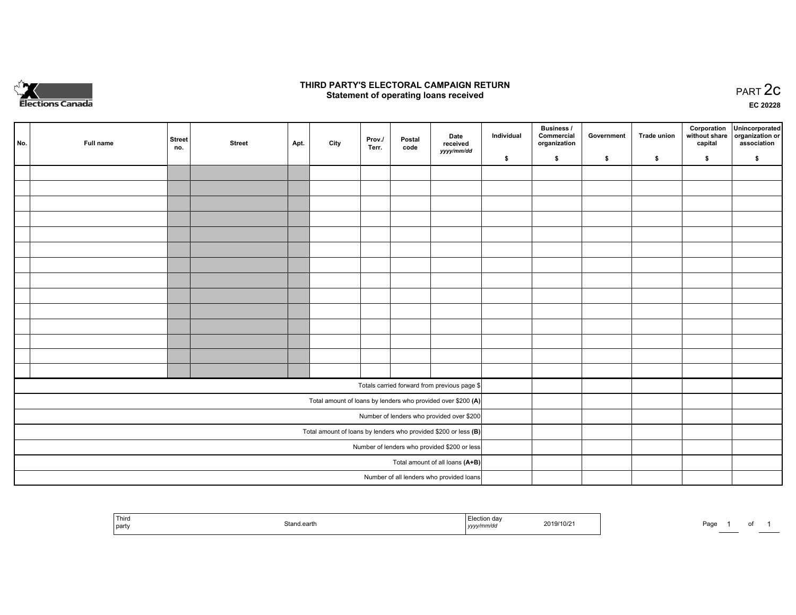

## **THIRD PARTY'S ELECTORAL CAMPAIGN RETURN STATE:** PRACT OF OPPRESS TO PART 2C STATE STATE STATE STATE STATE STATE STATE STATE STATE STATE STATE STATE STA<br>PART 2C Statement of operating loans received

**EC 20228**

|                                              | No. | Full name | <b>Street</b> | <b>Street</b> | Apt. | City | Prov./<br>Terr. | Postal | Date<br>received                                                  | Individual | <b>Business /</b><br>Commercial<br>organization | Government | Trade union | Corporation<br>capital | Unincorporated<br>without share   organization or<br>association |
|----------------------------------------------|-----|-----------|---------------|---------------|------|------|-----------------|--------|-------------------------------------------------------------------|------------|-------------------------------------------------|------------|-------------|------------------------|------------------------------------------------------------------|
|                                              |     |           | no.           |               |      |      |                 | code   | yyyy/mm/dd                                                        | \$         | \$                                              | \$         | \$          | \$                     | \$                                                               |
|                                              |     |           |               |               |      |      |                 |        |                                                                   |            |                                                 |            |             |                        |                                                                  |
|                                              |     |           |               |               |      |      |                 |        |                                                                   |            |                                                 |            |             |                        |                                                                  |
|                                              |     |           |               |               |      |      |                 |        |                                                                   |            |                                                 |            |             |                        |                                                                  |
|                                              |     |           |               |               |      |      |                 |        |                                                                   |            |                                                 |            |             |                        |                                                                  |
|                                              |     |           |               |               |      |      |                 |        |                                                                   |            |                                                 |            |             |                        |                                                                  |
|                                              |     |           |               |               |      |      |                 |        |                                                                   |            |                                                 |            |             |                        |                                                                  |
|                                              |     |           |               |               |      |      |                 |        |                                                                   |            |                                                 |            |             |                        |                                                                  |
|                                              |     |           |               |               |      |      |                 |        |                                                                   |            |                                                 |            |             |                        |                                                                  |
|                                              |     |           |               |               |      |      |                 |        |                                                                   |            |                                                 |            |             |                        |                                                                  |
|                                              |     |           |               |               |      |      |                 |        |                                                                   |            |                                                 |            |             |                        |                                                                  |
|                                              |     |           |               |               |      |      |                 |        |                                                                   |            |                                                 |            |             |                        |                                                                  |
|                                              |     |           |               |               |      |      |                 |        |                                                                   |            |                                                 |            |             |                        |                                                                  |
|                                              |     |           |               |               |      |      |                 |        |                                                                   |            |                                                 |            |             |                        |                                                                  |
|                                              |     |           |               |               |      |      |                 |        |                                                                   |            |                                                 |            |             |                        |                                                                  |
|                                              |     |           |               |               |      |      |                 |        | Totals carried forward from previous page \$                      |            |                                                 |            |             |                        |                                                                  |
|                                              |     |           |               |               |      |      |                 |        | Total amount of loans by lenders who provided over \$200 (A)      |            |                                                 |            |             |                        |                                                                  |
|                                              |     |           |               |               |      |      |                 |        | Number of lenders who provided over \$200                         |            |                                                 |            |             |                        |                                                                  |
|                                              |     |           |               |               |      |      |                 |        | Total amount of loans by lenders who provided \$200 or less $(B)$ |            |                                                 |            |             |                        |                                                                  |
| Number of lenders who provided \$200 or less |     |           |               |               |      |      |                 |        |                                                                   |            |                                                 |            |             |                        |                                                                  |
|                                              |     |           |               |               |      |      |                 |        | Total amount of all loans (A+B)                                   |            |                                                 |            |             |                        |                                                                  |
|                                              |     |           |               |               |      |      |                 |        | Number of all lenders who provided loans                          |            |                                                 |            |             |                        |                                                                  |

| the company's con-<br>Third<br>  party | 74ar<br>eann | ∃U/Z.<br>. | Page |
|----------------------------------------|--------------|------------|------|
|----------------------------------------|--------------|------------|------|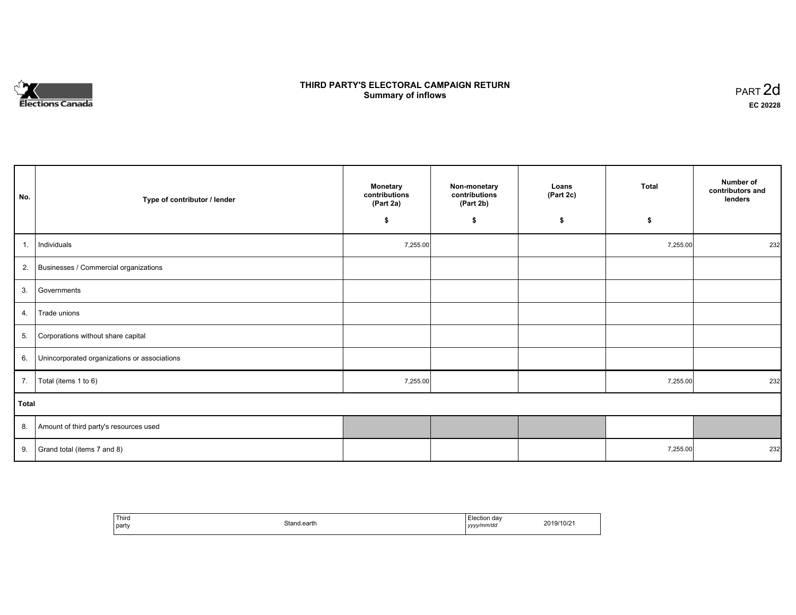# **Elections Canada**

# **THIRD PARTY'S ELECTORAL CAMPAIGN RETURN Summary of inflows**

| PART <sub>2d</sub> |  |
|--------------------|--|
| EC 20228           |  |

| No.          | Type of contributor / lender                 | <b>Monetary</b><br>contributions<br>(Part 2a) | Non-monetary<br>contributions<br>(Part 2b) | Loans<br>(Part 2c) | <b>Total</b> | Number of<br>contributors and<br>lenders |
|--------------|----------------------------------------------|-----------------------------------------------|--------------------------------------------|--------------------|--------------|------------------------------------------|
|              |                                              | \$                                            | \$                                         | \$                 | \$           |                                          |
| 1.           | Individuals                                  | 7,255.00                                      |                                            |                    | 7,255.00     | 232                                      |
| 2.           | Businesses / Commercial organizations        |                                               |                                            |                    |              |                                          |
| 3.           | Governments                                  |                                               |                                            |                    |              |                                          |
| 4.           | Trade unions                                 |                                               |                                            |                    |              |                                          |
| 5.           | Corporations without share capital           |                                               |                                            |                    |              |                                          |
| 6.           | Unincorporated organizations or associations |                                               |                                            |                    |              |                                          |
| 7.           | Total (items 1 to 6)                         | 7,255.00                                      |                                            |                    | 7,255.00     | 232                                      |
| <b>Total</b> |                                              |                                               |                                            |                    |              |                                          |
| 8.           | Amount of third party's resources used       |                                               |                                            |                    |              |                                          |
| 9.           | Grand total (items 7 and 8)                  |                                               |                                            |                    | 7,255.00     | 232                                      |

| Third<br>party | Stand.earth | Election day<br>$\cdots$<br>yyy/mm/dd<br>,,, | 2019/10/21 |
|----------------|-------------|----------------------------------------------|------------|
|----------------|-------------|----------------------------------------------|------------|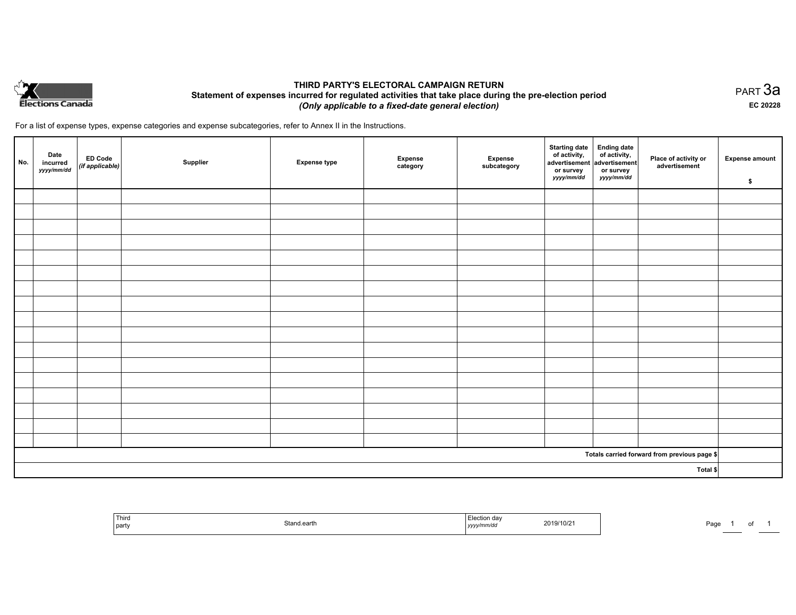

# **THIRD PARTY'S ELECTORAL CAMPAIGN RETURN Statement of expenses incurred for regulated activities that take place during the pre-election period**  *(Only applicable to a fixed-date general election)*

For a list of expense types, expense categories and expense subcategories, refer to Annex II in the Instructions.

| No.      | Date<br>incurred<br>yyyy/mm/dd | ED Code<br>(if applicable) | Supplier | <b>Expense type</b> | <b>Expense</b><br>category | Expense<br>subcategory | Starting date<br>of activity,<br>advertisement<br>advertisement<br>dvertisement<br>or survey<br>yyyy/mm/dd | or survey<br>yyyy/mm/dd | Place of activity or<br>advertisement        | <b>Expense amount</b><br>\$ |
|----------|--------------------------------|----------------------------|----------|---------------------|----------------------------|------------------------|------------------------------------------------------------------------------------------------------------|-------------------------|----------------------------------------------|-----------------------------|
|          |                                |                            |          |                     |                            |                        |                                                                                                            |                         |                                              |                             |
|          |                                |                            |          |                     |                            |                        |                                                                                                            |                         |                                              |                             |
|          |                                |                            |          |                     |                            |                        |                                                                                                            |                         |                                              |                             |
|          |                                |                            |          |                     |                            |                        |                                                                                                            |                         |                                              |                             |
|          |                                |                            |          |                     |                            |                        |                                                                                                            |                         |                                              |                             |
|          |                                |                            |          |                     |                            |                        |                                                                                                            |                         |                                              |                             |
|          |                                |                            |          |                     |                            |                        |                                                                                                            |                         |                                              |                             |
|          |                                |                            |          |                     |                            |                        |                                                                                                            |                         |                                              |                             |
|          |                                |                            |          |                     |                            |                        |                                                                                                            |                         |                                              |                             |
|          |                                |                            |          |                     |                            |                        |                                                                                                            |                         |                                              |                             |
|          |                                |                            |          |                     |                            |                        |                                                                                                            |                         |                                              |                             |
|          |                                |                            |          |                     |                            |                        |                                                                                                            |                         |                                              |                             |
|          |                                |                            |          |                     |                            |                        |                                                                                                            |                         |                                              |                             |
|          |                                |                            |          |                     |                            |                        |                                                                                                            |                         |                                              |                             |
|          |                                |                            |          |                     |                            |                        |                                                                                                            |                         |                                              |                             |
|          |                                |                            |          |                     |                            |                        |                                                                                                            |                         |                                              |                             |
|          |                                |                            |          |                     |                            |                        |                                                                                                            |                         |                                              |                             |
|          |                                |                            |          |                     |                            |                        |                                                                                                            |                         | Totals carried forward from previous page \$ |                             |
| Total \$ |                                |                            |          |                     |                            |                        |                                                                                                            |                         |                                              |                             |

| Third<br><b>STATISTICS</b><br>  party | itand earth | ⊧iection dav<br>2019/10/2<br>.<br>yyyymm/ac | Door<br>ʻay<br>. . |
|---------------------------------------|-------------|---------------------------------------------|--------------------|
|---------------------------------------|-------------|---------------------------------------------|--------------------|

PART 3a **EC 20228**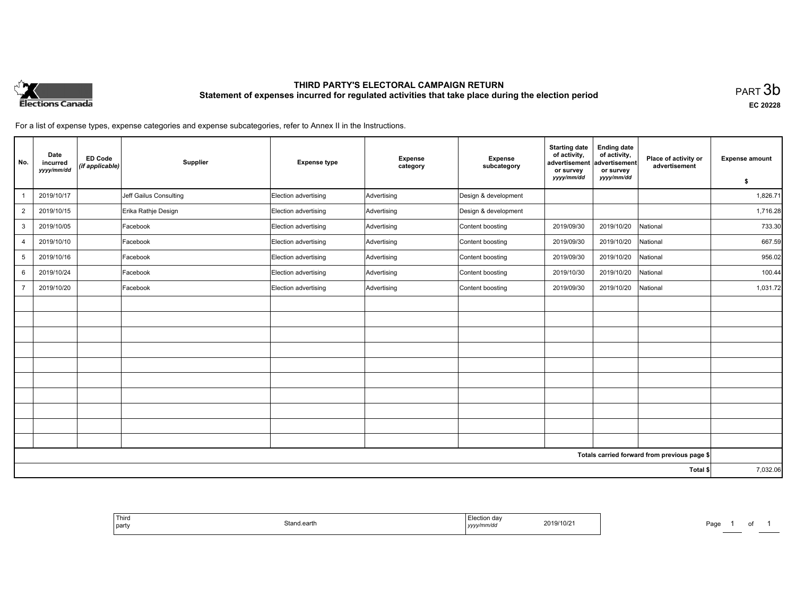

# **THIRD PARTY'S ELECTORAL CAMPAIGN RETURN Statement of expenses incurred for regulated activities that take place during the election period**<br>PART  $3\mathsf{b}$

**EC 20228**

Page 1 of

For a list of expense types, expense categories and expense subcategories, refer to Annex II in the Instructions.

| No.                                          | Date<br>incurred<br>yyyy/mm/dd | <b>ED Code</b><br>(if applicable) | Supplier               | <b>Expense type</b>  | Expense<br>category | <b>Expense</b><br>subcategory | <b>Starting date</b><br>of activity,<br>advertisement<br>or survey | <b>Ending date</b><br>of activity,<br>advertisement<br>or survey | Place of activity or<br>advertisement | <b>Expense amount</b> |
|----------------------------------------------|--------------------------------|-----------------------------------|------------------------|----------------------|---------------------|-------------------------------|--------------------------------------------------------------------|------------------------------------------------------------------|---------------------------------------|-----------------------|
|                                              |                                |                                   |                        |                      |                     |                               | yyyy/mm/dd                                                         | yyyy/mm/dd                                                       |                                       | \$                    |
|                                              | 2019/10/17                     |                                   | Jeff Gailus Consulting | Election advertising | Advertising         | Design & development          |                                                                    |                                                                  |                                       | 1,826.71              |
| $\overline{2}$                               | 2019/10/15                     |                                   | Erika Rathje Design    | Election advertising | Advertising         | Design & development          |                                                                    |                                                                  |                                       | 1,716.28              |
| 3                                            | 2019/10/05                     |                                   | Facebook               | Election advertising | Advertising         | Content boosting              | 2019/09/30                                                         | 2019/10/20                                                       | National                              | 733.30                |
| $\overline{4}$                               | 2019/10/10                     |                                   | Facebook               | Election advertising | Advertising         | Content boosting              | 2019/09/30                                                         | 2019/10/20                                                       | National                              | 667.59                |
| 5                                            | 2019/10/16                     |                                   | Facebook               | Election advertising | Advertising         | Content boosting              | 2019/09/30                                                         | 2019/10/20                                                       | National                              | 956.02                |
| 6                                            | 2019/10/24                     |                                   | Facebook               | Election advertising | Advertising         | Content boosting              | 2019/10/30                                                         | 2019/10/20                                                       | National                              | 100.44                |
| $\overline{7}$                               | 2019/10/20                     |                                   | Facebook               | Election advertising | Advertising         | Content boosting              | 2019/09/30                                                         | 2019/10/20                                                       | National                              | 1,031.72              |
|                                              |                                |                                   |                        |                      |                     |                               |                                                                    |                                                                  |                                       |                       |
|                                              |                                |                                   |                        |                      |                     |                               |                                                                    |                                                                  |                                       |                       |
|                                              |                                |                                   |                        |                      |                     |                               |                                                                    |                                                                  |                                       |                       |
|                                              |                                |                                   |                        |                      |                     |                               |                                                                    |                                                                  |                                       |                       |
|                                              |                                |                                   |                        |                      |                     |                               |                                                                    |                                                                  |                                       |                       |
|                                              |                                |                                   |                        |                      |                     |                               |                                                                    |                                                                  |                                       |                       |
|                                              |                                |                                   |                        |                      |                     |                               |                                                                    |                                                                  |                                       |                       |
|                                              |                                |                                   |                        |                      |                     |                               |                                                                    |                                                                  |                                       |                       |
|                                              |                                |                                   |                        |                      |                     |                               |                                                                    |                                                                  |                                       |                       |
|                                              |                                |                                   |                        |                      |                     |                               |                                                                    |                                                                  |                                       |                       |
| Totals carried forward from previous page \$ |                                |                                   |                        |                      |                     |                               |                                                                    |                                                                  |                                       |                       |
| Total \$                                     |                                |                                   |                        |                      |                     |                               | 7,032.06                                                           |                                                                  |                                       |                       |

| <sup>1</sup> Third<br>i Election dav<br>2019/10/21<br>Stand.earth<br>$\cdots$<br>  party<br>yyyy/mm/dd<br>. |
|-------------------------------------------------------------------------------------------------------------|
|-------------------------------------------------------------------------------------------------------------|